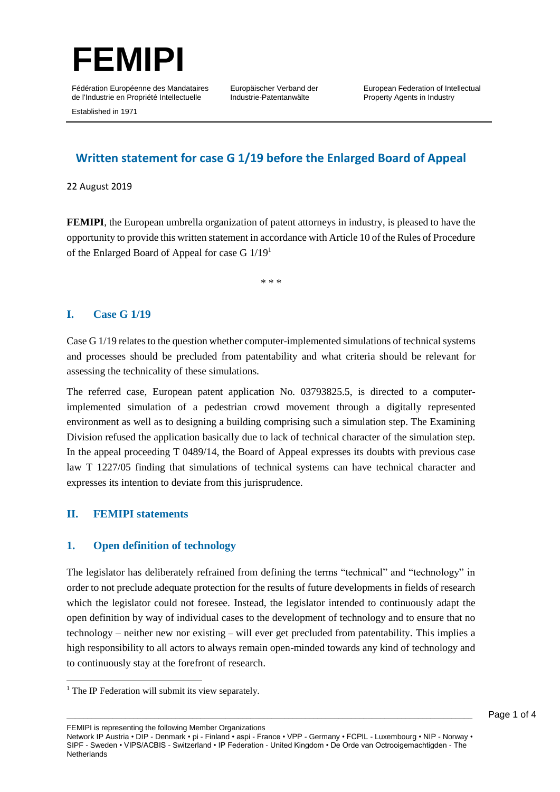

Europäischer Verband der Industrie-Patentanwälte

European Federation of Intellectual Property Agents in Industry

Established in 1971

# **Written statement for case G 1/19 before the Enlarged Board of Appeal**

22 August 2019

**FEMIPI**, the European umbrella organization of patent attorneys in industry, is pleased to have the opportunity to provide this written statement in accordance with Article 10 of the Rules of Procedure of the Enlarged Board of Appeal for case G 1/19<sup>1</sup>

\* \* \*

## **I. Case G 1/19**

Case G 1/19 relates to the question whether computer-implemented simulations of technical systems and processes should be precluded from patentability and what criteria should be relevant for assessing the technicality of these simulations.

The referred case, European patent application No. 03793825.5, is directed to a computerimplemented simulation of a pedestrian crowd movement through a digitally represented environment as well as to designing a building comprising such a simulation step. The Examining Division refused the application basically due to lack of technical character of the simulation step. In the appeal proceeding T 0489/14, the Board of Appeal expresses its doubts with previous case law T 1227/05 finding that simulations of technical systems can have technical character and expresses its intention to deviate from this jurisprudence.

#### **II. FEMIPI statements**

 $\overline{a}$ 

#### **1. Open definition of technology**

The legislator has deliberately refrained from defining the terms "technical" and "technology" in order to not preclude adequate protection for the results of future developments in fields of research which the legislator could not foresee. Instead, the legislator intended to continuously adapt the open definition by way of individual cases to the development of technology and to ensure that no technology – neither new nor existing – will ever get precluded from patentability. This implies a high responsibility to all actors to always remain open-minded towards any kind of technology and to continuously stay at the forefront of research.

FEMIPI is representing the following Member Organizations

Network IP Austria • DIP - Denmark • pi - Finland • aspi - France • VPP - Germany • FCPIL - Luxembourg • NIP - Norway • SIPF - Sweden • VIPS/ACBIS - Switzerland • IP Federation - United Kingdom • De Orde van Octrooigemachtigden - The **Netherlands** 

<sup>&</sup>lt;sup>1</sup> The IP Federation will submit its view separately.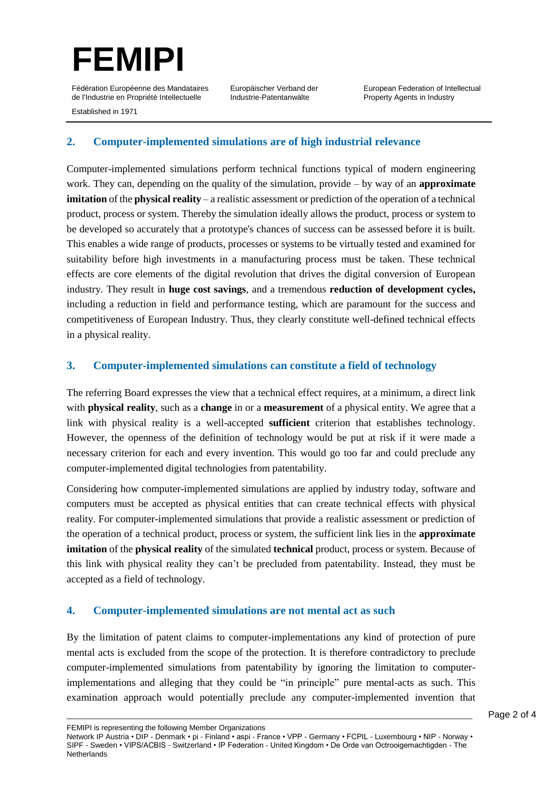

Europäischer Verband der Industrie-Patentanwälte

European Federation of Intellectual Property Agents in Industry

Established in 1971

## **2. Computer-implemented simulations are of high industrial relevance**

Computer-implemented simulations perform technical functions typical of modern engineering work. They can, depending on the quality of the simulation, provide – by way of an **approximate imitation** of the **physical reality** – a realistic assessment or prediction of the operation of a technical product, process or system. Thereby the simulation ideally allows the product, process or system to be developed so accurately that a prototype's chances of success can be assessed before it is built. This enables a wide range of products, processes or systems to be virtually tested and examined for suitability before high investments in a manufacturing process must be taken. These technical effects are core elements of the digital revolution that drives the digital conversion of European industry. They result in **huge cost savings**, and a tremendous **reduction of development cycles,**  including a reduction in field and performance testing, which are paramount for the success and competitiveness of European Industry. Thus, they clearly constitute well-defined technical effects in a physical reality.

## **3. Computer-implemented simulations can constitute a field of technology**

The referring Board expresses the view that a technical effect requires, at a minimum, a direct link with **physical reality**, such as a **change** in or a **measurement** of a physical entity. We agree that a link with physical reality is a well-accepted **sufficient** criterion that establishes technology. However, the openness of the definition of technology would be put at risk if it were made a necessary criterion for each and every invention. This would go too far and could preclude any computer-implemented digital technologies from patentability.

Considering how computer-implemented simulations are applied by industry today, software and computers must be accepted as physical entities that can create technical effects with physical reality. For computer-implemented simulations that provide a realistic assessment or prediction of the operation of a technical product, process or system, the sufficient link lies in the **approximate imitation** of the **physical reality** of the simulated **technical** product, process or system. Because of this link with physical reality they can't be precluded from patentability. Instead, they must be accepted as a field of technology.

#### **4. Computer-implemented simulations are not mental act as such**

By the limitation of patent claims to computer-implementations any kind of protection of pure mental acts is excluded from the scope of the protection. It is therefore contradictory to preclude computer-implemented simulations from patentability by ignoring the limitation to computerimplementations and alleging that they could be "in principle" pure mental-acts as such. This examination approach would potentially preclude any computer-implemented invention that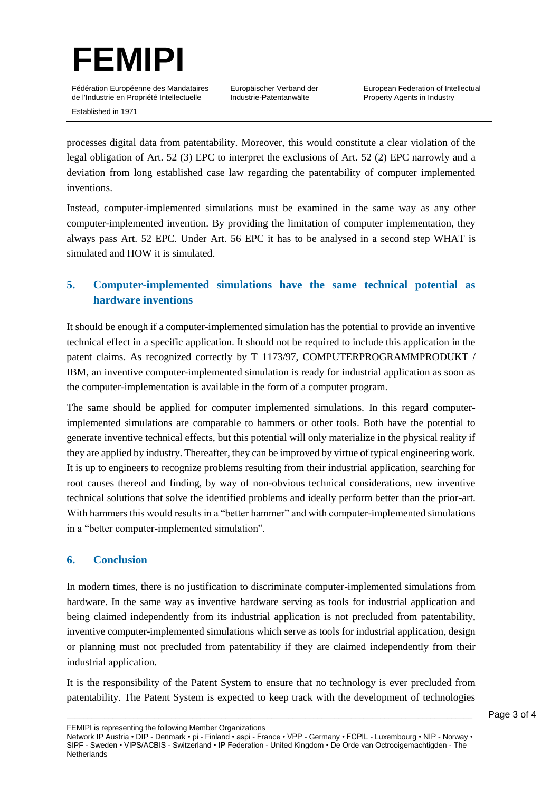

Europäischer Verband der Industrie-Patentanwälte

Established in 1971

processes digital data from patentability. Moreover, this would constitute a clear violation of the legal obligation of Art. 52 (3) EPC to interpret the exclusions of Art. 52 (2) EPC narrowly and a deviation from long established case law regarding the patentability of computer implemented inventions.

Instead, computer-implemented simulations must be examined in the same way as any other computer-implemented invention. By providing the limitation of computer implementation, they always pass Art. 52 EPC. Under Art. 56 EPC it has to be analysed in a second step WHAT is simulated and HOW it is simulated.

# **5. Computer-implemented simulations have the same technical potential as hardware inventions**

It should be enough if a computer-implemented simulation has the potential to provide an inventive technical effect in a specific application. It should not be required to include this application in the patent claims. As recognized correctly by T 1173/97, COMPUTERPROGRAMMPRODUKT / IBM, an inventive computer-implemented simulation is ready for industrial application as soon as the computer-implementation is available in the form of a computer program.

The same should be applied for computer implemented simulations. In this regard computerimplemented simulations are comparable to hammers or other tools. Both have the potential to generate inventive technical effects, but this potential will only materialize in the physical reality if they are applied by industry. Thereafter, they can be improved by virtue of typical engineering work. It is up to engineers to recognize problems resulting from their industrial application, searching for root causes thereof and finding, by way of non-obvious technical considerations, new inventive technical solutions that solve the identified problems and ideally perform better than the prior-art. With hammers this would results in a "better hammer" and with computer-implemented simulations in a "better computer-implemented simulation".

## **6. Conclusion**

In modern times, there is no justification to discriminate computer-implemented simulations from hardware. In the same way as inventive hardware serving as tools for industrial application and being claimed independently from its industrial application is not precluded from patentability, inventive computer-implemented simulations which serve as tools for industrial application, design or planning must not precluded from patentability if they are claimed independently from their industrial application.

It is the responsibility of the Patent System to ensure that no technology is ever precluded from patentability. The Patent System is expected to keep track with the development of technologies